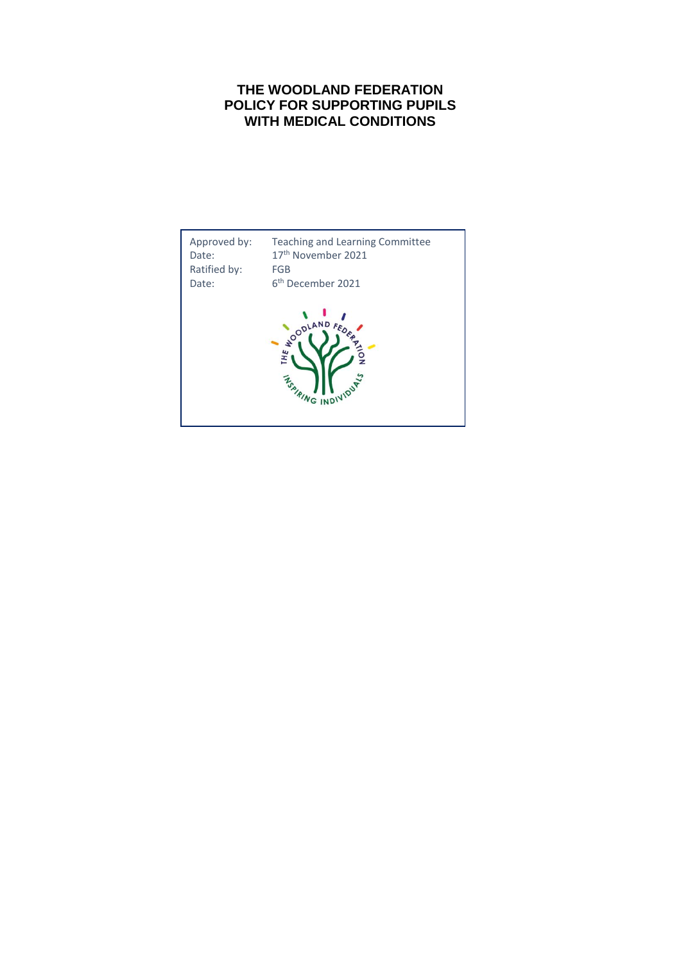## **THE WOODLAND FEDERATION POLICY FOR SUPPORTING PUPILS WITH MEDICAL CONDITIONS**

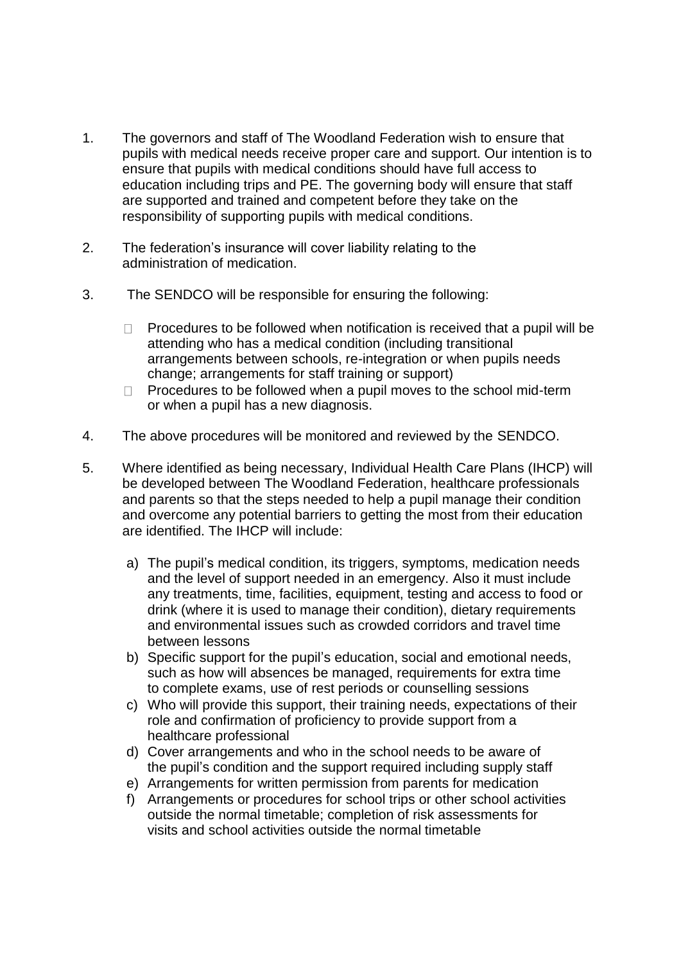- 1. The governors and staff of The Woodland Federation wish to ensure that pupils with medical needs receive proper care and support. Our intention is to ensure that pupils with medical conditions should have full access to education including trips and PE. The governing body will ensure that staff are supported and trained and competent before they take on the responsibility of supporting pupils with medical conditions.
- 2. The federation's insurance will cover liability relating to the administration of medication.
- 3. The SENDCO will be responsible for ensuring the following:
	- Procedures to be followed when notification is received that a pupil will be  $\Box$ attending who has a medical condition (including transitional arrangements between schools, re-integration or when pupils needs change; arrangements for staff training or support)
	- $\Box$  Procedures to be followed when a pupil moves to the school mid-term or when a pupil has a new diagnosis.
- 4. The above procedures will be monitored and reviewed by the SENDCO.
- 5. Where identified as being necessary, Individual Health Care Plans (IHCP) will be developed between The Woodland Federation, healthcare professionals and parents so that the steps needed to help a pupil manage their condition and overcome any potential barriers to getting the most from their education are identified. The IHCP will include:
	- a) The pupil's medical condition, its triggers, symptoms, medication needs and the level of support needed in an emergency. Also it must include any treatments, time, facilities, equipment, testing and access to food or drink (where it is used to manage their condition), dietary requirements and environmental issues such as crowded corridors and travel time between lessons
	- b) Specific support for the pupil's education, social and emotional needs, such as how will absences be managed, requirements for extra time to complete exams, use of rest periods or counselling sessions
	- c) Who will provide this support, their training needs, expectations of their role and confirmation of proficiency to provide support from a healthcare professional
	- d) Cover arrangements and who in the school needs to be aware of the pupil's condition and the support required including supply staff
	- e) Arrangements for written permission from parents for medication
	- f) Arrangements or procedures for school trips or other school activities outside the normal timetable; completion of risk assessments for visits and school activities outside the normal timetable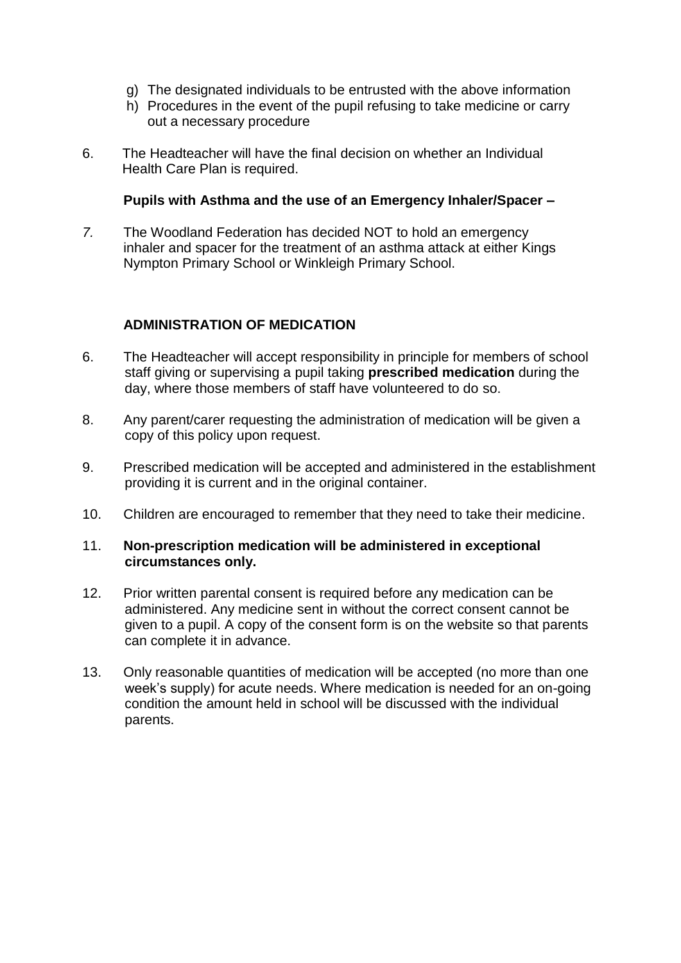- g) The designated individuals to be entrusted with the above information
- h) Procedures in the event of the pupil refusing to take medicine or carry out a necessary procedure
- 6. The Headteacher will have the final decision on whether an Individual Health Care Plan is required.

## **Pupils with Asthma and the use of an Emergency Inhaler/Spacer –**

*7.* The Woodland Federation has decided NOT to hold an emergency inhaler and spacer for the treatment of an asthma attack at either Kings Nympton Primary School or Winkleigh Primary School.

## **ADMINISTRATION OF MEDICATION**

- 6. The Headteacher will accept responsibility in principle for members of school staff giving or supervising a pupil taking **prescribed medication** during the day, where those members of staff have volunteered to do so.
- 8. Any parent/carer requesting the administration of medication will be given a copy of this policy upon request.
- 9. Prescribed medication will be accepted and administered in the establishment providing it is current and in the original container.
- 10. Children are encouraged to remember that they need to take their medicine.

## 11. **Non-prescription medication will be administered in exceptional circumstances only.**

- 12. Prior written parental consent is required before any medication can be administered. Any medicine sent in without the correct consent cannot be given to a pupil. A copy of the consent form is on the website so that parents can complete it in advance.
- 13. Only reasonable quantities of medication will be accepted (no more than one week's supply) for acute needs. Where medication is needed for an on-going condition the amount held in school will be discussed with the individual parents.